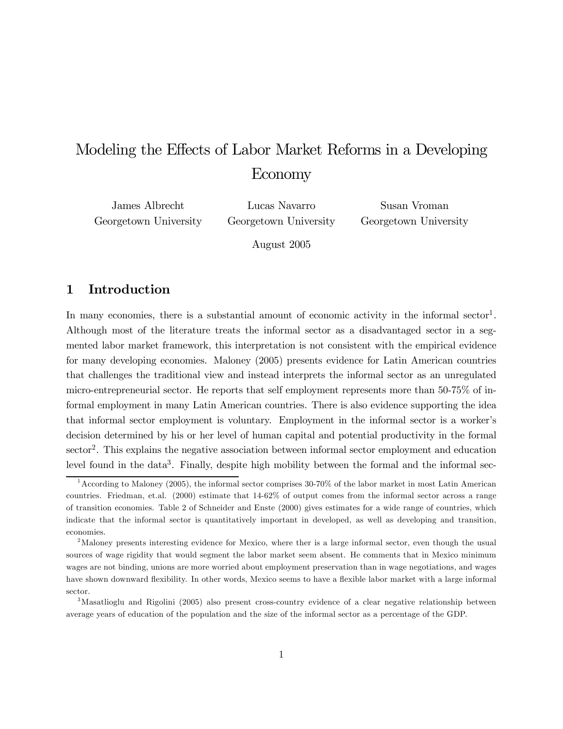# Modeling the Effects of Labor Market Reforms in a Developing Economy

James Albrecht Georgetown University

Lucas Navarro Georgetown University

Susan Vroman Georgetown University

August 2005

## 1 Introduction

In many economies, there is a substantial amount of economic activity in the informal sector<sup>1</sup>. Although most of the literature treats the informal sector as a disadvantaged sector in a segmented labor market framework, this interpretation is not consistent with the empirical evidence for many developing economies. Maloney (2005) presents evidence for Latin American countries that challenges the traditional view and instead interprets the informal sector as an unregulated micro-entrepreneurial sector. He reports that self employment represents more than 50-75% of informal employment in many Latin American countries. There is also evidence supporting the idea that informal sector employment is voluntary. Employment in the informal sector is a worker's decision determined by his or her level of human capital and potential productivity in the formal sector<sup>2</sup>. This explains the negative association between informal sector employment and education level found in the data<sup>3</sup>. Finally, despite high mobility between the formal and the informal sec-

<sup>1</sup>According to Maloney (2005), the informal sector comprises 30-70% of the labor market in most Latin American countries. Friedman, et.al. (2000) estimate that 14-62% of output comes from the informal sector across a range of transition economies. Table 2 of Schneider and Enste (2000) gives estimates for a wide range of countries, which indicate that the informal sector is quantitatively important in developed, as well as developing and transition, economies.

<sup>&</sup>lt;sup>2</sup>Maloney presents interesting evidence for Mexico, where ther is a large informal sector, even though the usual sources of wage rigidity that would segment the labor market seem absent. He comments that in Mexico minimum wages are not binding, unions are more worried about employment preservation than in wage negotiations, and wages have shown downward flexibility. In other words, Mexico seems to have a flexible labor market with a large informal sector.

<sup>3</sup>Masatlioglu and Rigolini (2005) also present cross-country evidence of a clear negative relationship between average years of education of the population and the size of the informal sector as a percentage of the GDP.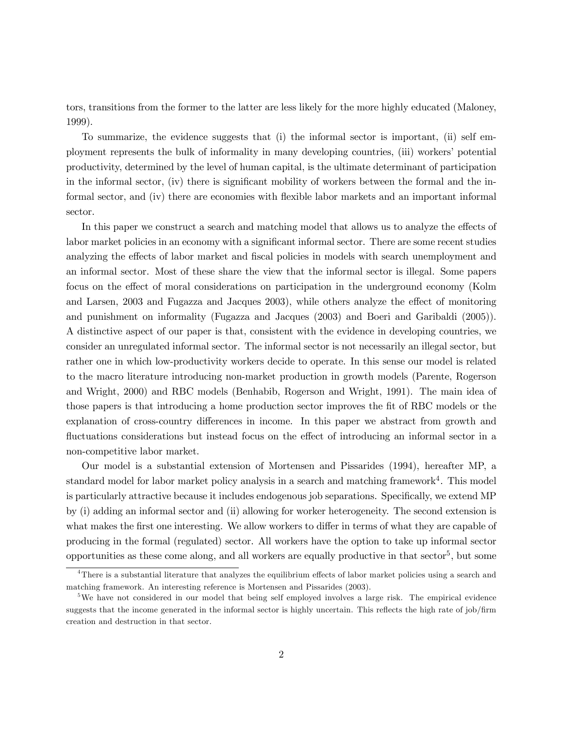tors, transitions from the former to the latter are less likely for the more highly educated (Maloney, 1999).

To summarize, the evidence suggests that (i) the informal sector is important, (ii) self employment represents the bulk of informality in many developing countries, (iii) workers' potential productivity, determined by the level of human capital, is the ultimate determinant of participation in the informal sector, (iv) there is significant mobility of workers between the formal and the informal sector, and (iv) there are economies with flexible labor markets and an important informal sector.

In this paper we construct a search and matching model that allows us to analyze the effects of labor market policies in an economy with a significant informal sector. There are some recent studies analyzing the effects of labor market and fiscal policies in models with search unemployment and an informal sector. Most of these share the view that the informal sector is illegal. Some papers focus on the effect of moral considerations on participation in the underground economy (Kolm and Larsen, 2003 and Fugazza and Jacques 2003), while others analyze the effect of monitoring and punishment on informality (Fugazza and Jacques (2003) and Boeri and Garibaldi (2005)). A distinctive aspect of our paper is that, consistent with the evidence in developing countries, we consider an unregulated informal sector. The informal sector is not necessarily an illegal sector, but rather one in which low-productivity workers decide to operate. In this sense our model is related to the macro literature introducing non-market production in growth models (Parente, Rogerson and Wright, 2000) and RBC models (Benhabib, Rogerson and Wright, 1991). The main idea of those papers is that introducing a home production sector improves the fit of RBC models or the explanation of cross-country differences in income. In this paper we abstract from growth and fluctuations considerations but instead focus on the effect of introducing an informal sector in a non-competitive labor market.

Our model is a substantial extension of Mortensen and Pissarides (1994), hereafter MP, a standard model for labor market policy analysis in a search and matching framework<sup>4</sup>. This model is particularly attractive because it includes endogenous job separations. Specifically, we extend MP by (i) adding an informal sector and (ii) allowing for worker heterogeneity. The second extension is what makes the first one interesting. We allow workers to differ in terms of what they are capable of producing in the formal (regulated) sector. All workers have the option to take up informal sector opportunities as these come along, and all workers are equally productive in that  ${\rm sector}^5$ , but some

<sup>&</sup>lt;sup>4</sup>There is a substantial literature that analyzes the equilibrium effects of labor market policies using a search and matching framework. An interesting reference is Mortensen and Pissarides (2003).

<sup>&</sup>lt;sup>5</sup>We have not considered in our model that being self employed involves a large risk. The empirical evidence suggests that the income generated in the informal sector is highly uncertain. This reflects the high rate of job/firm creation and destruction in that sector.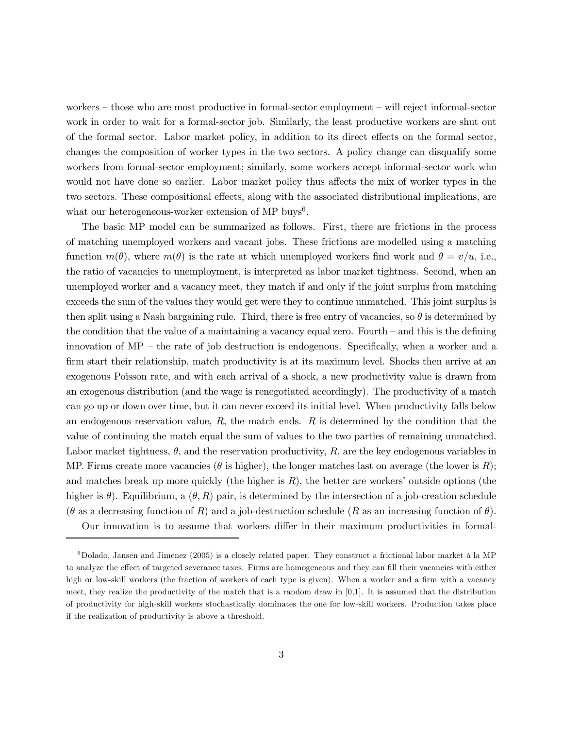workers — those who are most productive in formal-sector employment — will reject informal-sector work in order to wait for a formal-sector job. Similarly, the least productive workers are shut out of the formal sector. Labor market policy, in addition to its direct effects on the formal sector, changes the composition of worker types in the two sectors. A policy change can disqualify some workers from formal-sector employment; similarly, some workers accept informal-sector work who would not have done so earlier. Labor market policy thus affects the mix of worker types in the two sectors. These compositional effects, along with the associated distributional implications, are what our heterogeneous-worker extension of MP buys<sup>6</sup>.

The basic MP model can be summarized as follows. First, there are frictions in the process of matching unemployed workers and vacant jobs. These frictions are modelled using a matching function  $m(\theta)$ , where  $m(\theta)$  is the rate at which unemployed workers find work and  $\theta = v/u$ , i.e., the ratio of vacancies to unemployment, is interpreted as labor market tightness. Second, when an unemployed worker and a vacancy meet, they match if and only if the joint surplus from matching exceeds the sum of the values they would get were they to continue unmatched. This joint surplus is then split using a Nash bargaining rule. Third, there is free entry of vacancies, so  $\theta$  is determined by the condition that the value of a maintaining a vacancy equal zero. Fourth  $-$  and this is the defining innovation of  $MP$  – the rate of job destruction is endogenous. Specifically, when a worker and a firm start their relationship, match productivity is at its maximum level. Shocks then arrive at an exogenous Poisson rate, and with each arrival of a shock, a new productivity value is drawn from an exogenous distribution (and the wage is renegotiated accordingly). The productivity of a match can go up or down over time, but it can never exceed its initial level. When productivity falls below an endogenous reservation value,  $R$ , the match ends.  $R$  is determined by the condition that the value of continuing the match equal the sum of values to the two parties of remaining unmatched. Labor market tightness,  $\theta$ , and the reservation productivity, R, are the key endogenous variables in MP. Firms create more vacancies ( $\theta$  is higher), the longer matches last on average (the lower is R); and matches break up more quickly (the higher is  $R$ ), the better are workers' outside options (the higher is  $\theta$ ). Equilibrium, a  $(\theta, R)$  pair, is determined by the intersection of a job-creation schedule  $(\theta$  as a decreasing function of R) and a job-destruction schedule (R as an increasing function of  $\theta$ ).

Our innovation is to assume that workers differ in their maximum productivities in formal-

 $6Dolado$ , Jansen and Jimenez (2005) is a closely related paper. They construct a frictional labor market à la MP to analyze the effect of targeted severance taxes. Firms are homogeneous and they can fill their vacancies with either high or low-skill workers (the fraction of workers of each type is given). When a worker and a firm with a vacancy meet, they realize the productivity of the match that is a random draw in [0,1]. It is assumed that the distribution of productivity for high-skill workers stochastically dominates the one for low-skill workers. Production takes place if the realization of productivity is above a threshold.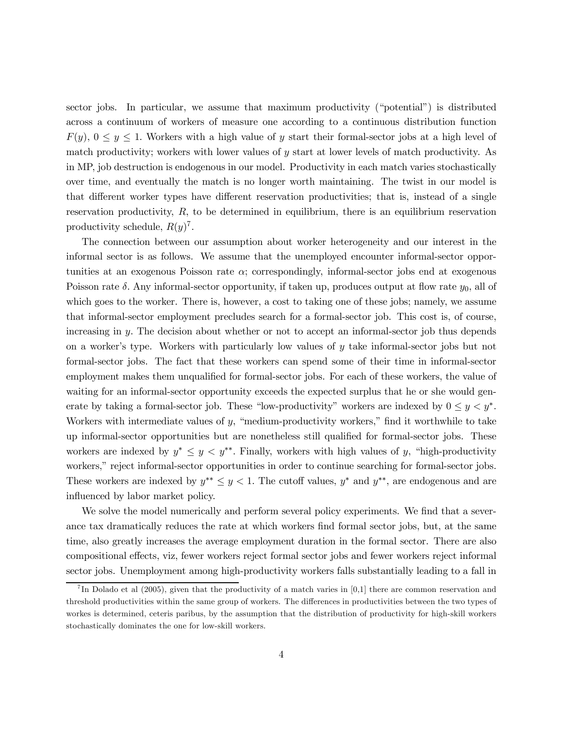sector jobs. In particular, we assume that maximum productivity ("potential") is distributed across a continuum of workers of measure one according to a continuous distribution function  $F(y)$ ,  $0 \le y \le 1$ . Workers with a high value of y start their formal-sector jobs at a high level of match productivity; workers with lower values of  $y$  start at lower levels of match productivity. As in MP, job destruction is endogenous in our model. Productivity in each match varies stochastically over time, and eventually the match is no longer worth maintaining. The twist in our model is that different worker types have different reservation productivities; that is, instead of a single reservation productivity,  $R$ , to be determined in equilibrium, there is an equilibrium reservation productivity schedule,  $R(y)^7$ .

The connection between our assumption about worker heterogeneity and our interest in the informal sector is as follows. We assume that the unemployed encounter informal-sector opportunities at an exogenous Poisson rate  $\alpha$ ; correspondingly, informal-sector jobs end at exogenous Poisson rate  $\delta$ . Any informal-sector opportunity, if taken up, produces output at flow rate  $y_0$ , all of which goes to the worker. There is, however, a cost to taking one of these jobs; namely, we assume that informal-sector employment precludes search for a formal-sector job. This cost is, of course, increasing in y. The decision about whether or not to accept an informal-sector job thus depends on a worker's type. Workers with particularly low values of y take informal-sector jobs but not formal-sector jobs. The fact that these workers can spend some of their time in informal-sector employment makes them unqualified for formal-sector jobs. For each of these workers, the value of waiting for an informal-sector opportunity exceeds the expected surplus that he or she would generate by taking a formal-sector job. These "low-productivity" workers are indexed by  $0 \le y \le y^*$ . Workers with intermediate values of  $y$ , "medium-productivity workers," find it worthwhile to take up informal-sector opportunities but are nonetheless still qualified for formal-sector jobs. These workers are indexed by  $y^* \leq y \leq y^{**}$ . Finally, workers with high values of y, "high-productivity" workers," reject informal-sector opportunities in order to continue searching for formal-sector jobs. These workers are indexed by  $y^{**} \leq y < 1$ . The cutoff values,  $y^*$  and  $y^{**}$ , are endogenous and are influenced by labor market policy.

We solve the model numerically and perform several policy experiments. We find that a severance tax dramatically reduces the rate at which workers find formal sector jobs, but, at the same time, also greatly increases the average employment duration in the formal sector. There are also compositional effects, viz, fewer workers reject formal sector jobs and fewer workers reject informal sector jobs. Unemployment among high-productivity workers falls substantially leading to a fall in

In Dolado et al  $(2005)$ , given that the productivity of a match varies in [0,1] there are common reservation and threshold productivities within the same group of workers. The differences in productivities between the two types of workes is determined, ceteris paribus, by the assumption that the distribution of productivity for high-skill workers stochastically dominates the one for low-skill workers.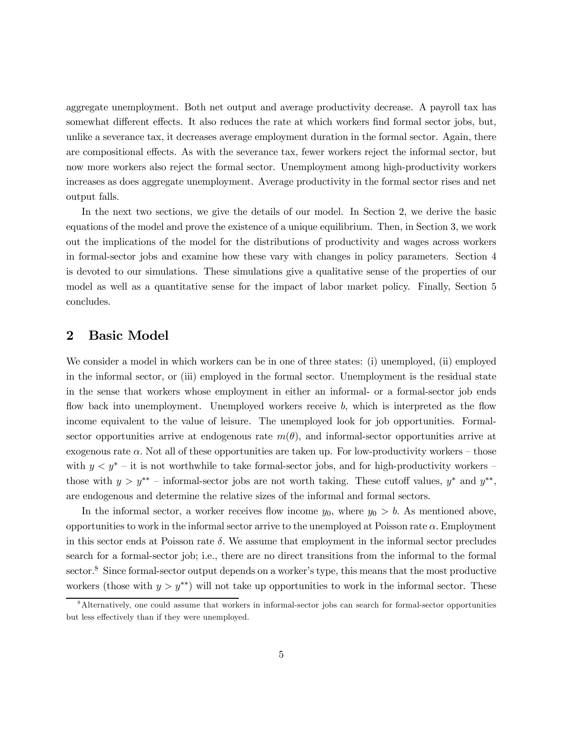aggregate unemployment. Both net output and average productivity decrease. A payroll tax has somewhat different effects. It also reduces the rate at which workers find formal sector jobs, but, unlike a severance tax, it decreases average employment duration in the formal sector. Again, there are compositional effects. As with the severance tax, fewer workers reject the informal sector, but now more workers also reject the formal sector. Unemployment among high-productivity workers increases as does aggregate unemployment. Average productivity in the formal sector rises and net output falls.

In the next two sections, we give the details of our model. In Section 2, we derive the basic equations of the model and prove the existence of a unique equilibrium. Then, in Section 3, we work out the implications of the model for the distributions of productivity and wages across workers in formal-sector jobs and examine how these vary with changes in policy parameters. Section 4 is devoted to our simulations. These simulations give a qualitative sense of the properties of our model as well as a quantitative sense for the impact of labor market policy. Finally, Section 5 concludes.

## 2 Basic Model

We consider a model in which workers can be in one of three states: (i) unemployed, (ii) employed in the informal sector, or (iii) employed in the formal sector. Unemployment is the residual state in the sense that workers whose employment in either an informal- or a formal-sector job ends flow back into unemployment. Unemployed workers receive b, which is interpreted as the flow income equivalent to the value of leisure. The unemployed look for job opportunities. Formalsector opportunities arrive at endogenous rate  $m(\theta)$ , and informal-sector opportunities arrive at exogenous rate  $\alpha$ . Not all of these opportunities are taken up. For low-productivity workers – those with  $y < y^*$  – it is not worthwhile to take formal-sector jobs, and for high-productivity workers – those with  $y>y^{**}$  – informal-sector jobs are not worth taking. These cutoff values,  $y^*$  and  $y^{**}$ , are endogenous and determine the relative sizes of the informal and formal sectors.

In the informal sector, a worker receives flow income  $y_0$ , where  $y_0 > b$ . As mentioned above, opportunities to work in the informal sector arrive to the unemployed at Poisson rate  $\alpha$ . Employment in this sector ends at Poisson rate  $\delta$ . We assume that employment in the informal sector precludes search for a formal-sector job; i.e., there are no direct transitions from the informal to the formal sector.<sup>8</sup> Since formal-sector output depends on a worker's type, this means that the most productive workers (those with  $y>y^{**}$ ) will not take up opportunities to work in the informal sector. These

<sup>8</sup>Alternatively, one could assume that workers in informal-sector jobs can search for formal-sector opportunities but less effectively than if they were unemployed.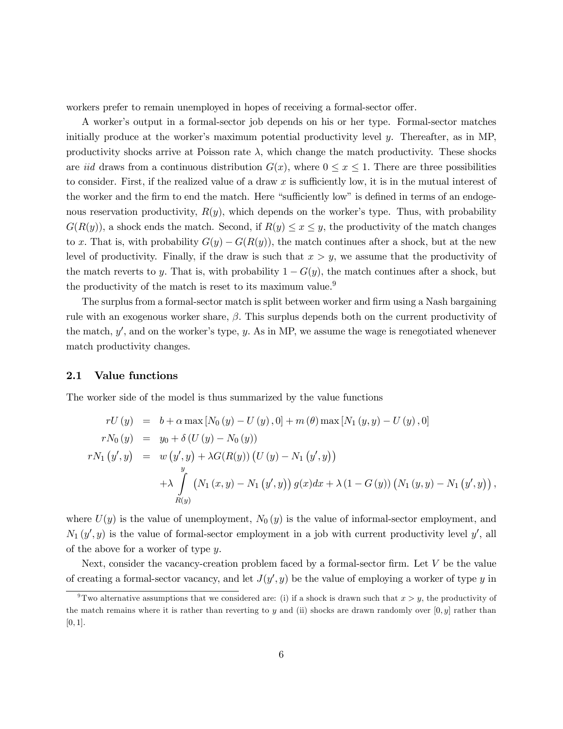workers prefer to remain unemployed in hopes of receiving a formal-sector offer.

A worker's output in a formal-sector job depends on his or her type. Formal-sector matches initially produce at the worker's maximum potential productivity level y. Thereafter, as in MP, productivity shocks arrive at Poisson rate  $\lambda$ , which change the match productivity. These shocks are iid draws from a continuous distribution  $G(x)$ , where  $0 \le x \le 1$ . There are three possibilities to consider. First, if the realized value of a draw  $x$  is sufficiently low, it is in the mutual interest of the worker and the firm to end the match. Here "sufficiently low" is defined in terms of an endogenous reservation productivity,  $R(y)$ , which depends on the worker's type. Thus, with probability  $G(R(y))$ , a shock ends the match. Second, if  $R(y) \le x \le y$ , the productivity of the match changes to x. That is, with probability  $G(y) - G(R(y))$ , the match continues after a shock, but at the new level of productivity. Finally, if the draw is such that  $x > y$ , we assume that the productivity of the match reverts to y. That is, with probability  $1 - G(y)$ , the match continues after a shock, but the productivity of the match is reset to its maximum value.<sup>9</sup>

The surplus from a formal-sector match is split between worker and firm using a Nash bargaining rule with an exogenous worker share,  $\beta$ . This surplus depends both on the current productivity of the match,  $y'$ , and on the worker's type, y. As in MP, we assume the wage is renegotiated whenever match productivity changes.

#### 2.1 Value functions

The worker side of the model is thus summarized by the value functions

$$
rU(y) = b + \alpha \max [N_0(y) - U(y), 0] + m(\theta) \max [N_1(y, y) - U(y), 0]
$$
  
\n
$$
rN_0(y) = y_0 + \delta (U(y) - N_0(y))
$$
  
\n
$$
rN_1(y', y) = w(y', y) + \lambda G(R(y)) (U(y) - N_1(y', y))
$$
  
\n
$$
+ \lambda \int_{R(y)}^{y} (N_1(x, y) - N_1(y', y)) g(x) dx + \lambda (1 - G(y)) (N_1(y, y) - N_1(y', y)),
$$

where  $U(y)$  is the value of unemployment,  $N_0(y)$  is the value of informal-sector employment, and  $N_1(y', y)$  is the value of formal-sector employment in a job with current productivity level y', all of the above for a worker of type y.

Next, consider the vacancy-creation problem faced by a formal-sector firm. Let  $V$  be the value of creating a formal-sector vacancy, and let  $J(y', y)$  be the value of employing a worker of type y in

<sup>&</sup>lt;sup>9</sup>Two alternative assumptions that we considered are: (i) if a shock is drawn such that  $x > y$ , the productivity of the match remains where it is rather than reverting to y and (ii) shocks are drawn randomly over  $[0, y]$  rather than  $[0, 1].$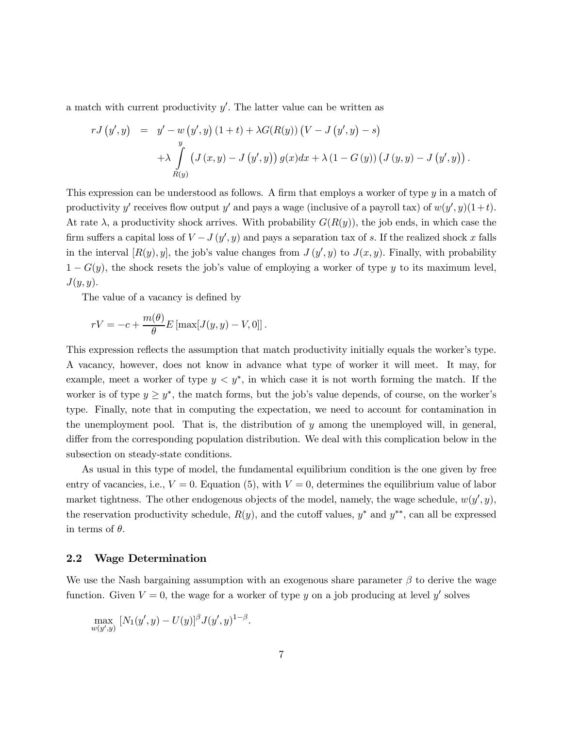a match with current productivity  $y'$ . The latter value can be written as

$$
rJ(y',y) = y' - w(y',y) (1 + t) + \lambda G(R(y)) (V - J(y',y) - s)
$$
  
+ 
$$
\lambda \int_{R(y)} (J(x,y) - J(y',y)) g(x) dx + \lambda (1 - G(y)) (J(y,y) - J(y',y)).
$$

This expression can be understood as follows. A firm that employs a worker of type y in a match of productivity y' receives flow output y' and pays a wage (inclusive of a payroll tax) of  $w(y', y)(1 + t)$ . At rate  $\lambda$ , a productivity shock arrives. With probability  $G(R(y))$ , the job ends, in which case the firm suffers a capital loss of  $V - J(y', y)$  and pays a separation tax of s. If the realized shock x falls in the interval  $[R(y), y]$ , the job's value changes from  $J(y', y)$  to  $J(x, y)$ . Finally, with probability  $1 - G(y)$ , the shock resets the job's value of employing a worker of type y to its maximum level,  $J(y, y)$ .

The value of a vacancy is defined by

$$
rV = -c + \frac{m(\theta)}{\theta} E \left[ \max[J(y, y) - V, 0] \right].
$$

This expression reflects the assumption that match productivity initially equals the worker's type. A vacancy, however, does not know in advance what type of worker it will meet. It may, for example, meet a worker of type  $y < y^*$ , in which case it is not worth forming the match. If the worker is of type  $y \geq y^*$ , the match forms, but the job's value depends, of course, on the worker's type. Finally, note that in computing the expectation, we need to account for contamination in the unemployment pool. That is, the distribution of y among the unemployed will, in general, differ from the corresponding population distribution. We deal with this complication below in the subsection on steady-state conditions.

As usual in this type of model, the fundamental equilibrium condition is the one given by free entry of vacancies, i.e.,  $V = 0$ . Equation (5), with  $V = 0$ , determines the equilibrium value of labor market tightness. The other endogenous objects of the model, namely, the wage schedule,  $w(y', y)$ , the reservation productivity schedule,  $R(y)$ , and the cutoff values,  $y^*$  and  $y^{**}$ , can all be expressed in terms of  $\theta$ .

#### 2.2 Wage Determination

We use the Nash bargaining assumption with an exogenous share parameter  $\beta$  to derive the wage function. Given  $V = 0$ , the wage for a worker of type y on a job producing at level y' solves

$$
\max_{w(y',y)} [N_1(y',y) - U(y)]^{\beta} J(y',y)^{1-\beta}.
$$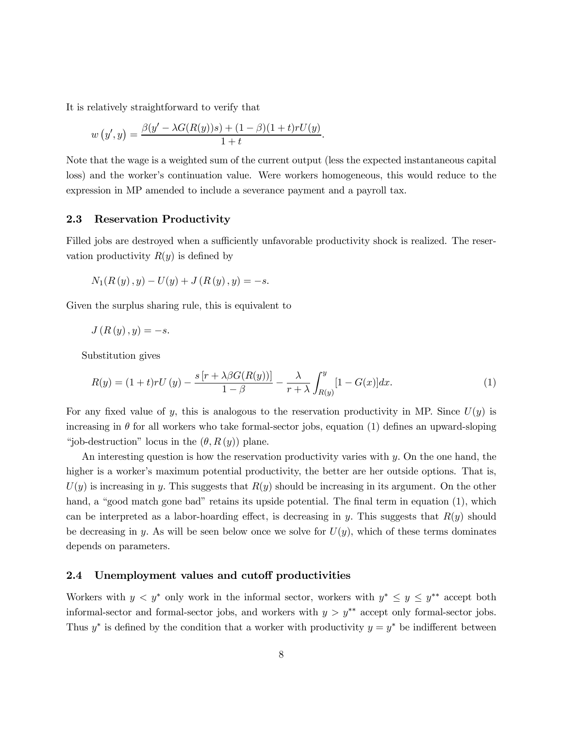It is relatively straightforward to verify that

$$
w(y', y) = \frac{\beta(y' - \lambda G(R(y))s) + (1 - \beta)(1 + t) r U(y)}{1 + t}.
$$

Note that the wage is a weighted sum of the current output (less the expected instantaneous capital loss) and the worker's continuation value. Were workers homogeneous, this would reduce to the expression in MP amended to include a severance payment and a payroll tax.

#### 2.3 Reservation Productivity

Filled jobs are destroyed when a sufficiently unfavorable productivity shock is realized. The reservation productivity  $R(y)$  is defined by

$$
N_1(R(y), y) - U(y) + J(R(y), y) = -s.
$$

Given the surplus sharing rule, this is equivalent to

$$
J(R(y), y) = -s.
$$

Substitution gives

$$
R(y) = (1+t)rU(y) - \frac{s[r + \lambda\beta G(R(y))] }{1-\beta} - \frac{\lambda}{r+\lambda} \int_{R(y)}^{y} [1 - G(x)] dx.
$$
 (1)

For any fixed value of y, this is analogous to the reservation productivity in MP. Since  $U(y)$  is increasing in  $\theta$  for all workers who take formal-sector jobs, equation (1) defines an upward-sloping "job-destruction" locus in the  $(\theta, R(y))$  plane.

An interesting question is how the reservation productivity varies with  $y$ . On the one hand, the higher is a worker's maximum potential productivity, the better are her outside options. That is,  $U(y)$  is increasing in y. This suggests that  $R(y)$  should be increasing in its argument. On the other hand, a "good match gone bad" retains its upside potential. The final term in equation (1), which can be interpreted as a labor-hoarding effect, is decreasing in y. This suggests that  $R(y)$  should be decreasing in y. As will be seen below once we solve for  $U(y)$ , which of these terms dominates depends on parameters.

#### 2.4 Unemployment values and cutoff productivities

Workers with  $y < y^*$  only work in the informal sector, workers with  $y^* \leq y \leq y^{**}$  accept both informal-sector and formal-sector jobs, and workers with  $y>y^*$  accept only formal-sector jobs. Thus  $y^*$  is defined by the condition that a worker with productivity  $y = y^*$  be indifferent between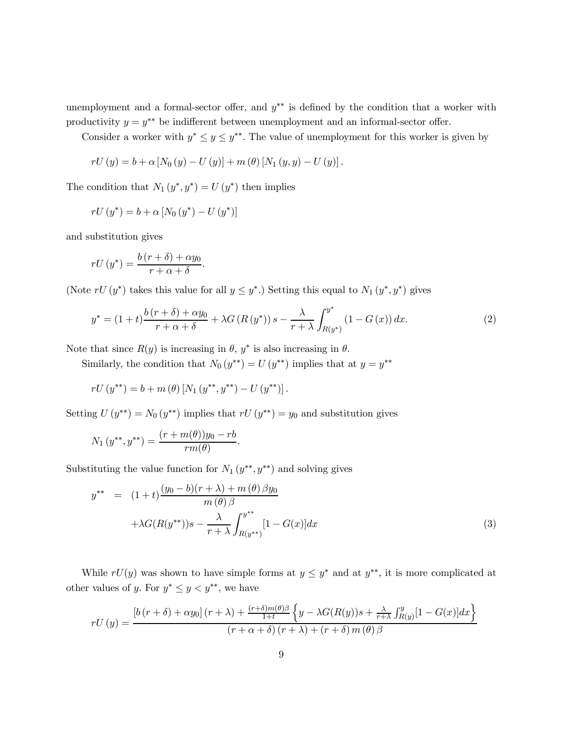unemployment and a formal-sector offer, and  $y^{**}$  is defined by the condition that a worker with productivity  $y = y^{**}$  be indifferent between unemployment and an informal-sector offer.

Consider a worker with  $y^* \leq y \leq y^{**}$ . The value of unemployment for this worker is given by

$$
rU(y) = b + \alpha [N_0(y) - U(y)] + m(\theta) [N_1(y, y) - U(y)].
$$

The condition that  $N_1(y^*, y^*) = U(y^*)$  then implies

$$
rU(y^*) = b + \alpha [N_0(y^*) - U(y^*)]
$$

and substitution gives

$$
rU(y^*) = \frac{b(r+\delta) + \alpha y_0}{r + \alpha + \delta}.
$$

(Note  $rU(y^*)$  takes this value for all  $y \leq y^*$ .) Setting this equal to  $N_1(y^*, y^*)$  gives

$$
y^* = (1+t)\frac{b(r+\delta) + \alpha y_0}{r+\alpha+\delta} + \lambda G\left(R\left(y^*\right)\right)s - \frac{\lambda}{r+\lambda}\int_{R\left(y^*\right)}^{y^*} \left(1 - G\left(x\right)\right)dx. \tag{2}
$$

Note that since  $R(y)$  is increasing in  $\theta$ ,  $y^*$  is also increasing in  $\theta$ .

Similarly, the condition that  $N_0(y^{**}) = U(y^{**})$  implies that at  $y = y^{**}$ 

$$
rU(y^{**}) = b + m(\theta) [N_1(y^{**}, y^{**}) - U(y^{**})].
$$

Setting  $U(y^{**}) = N_0(y^{**})$  implies that  $rU(y^{**}) = y_0$  and substitution gives

$$
N_1(y^{**}, y^{**}) = \frac{(r + m(\theta))y_0 - rb}{rm(\theta)}.
$$

Substituting the value function for  $N_1(y^{**}, y^{**})$  and solving gives

$$
y^{**} = (1+t)\frac{(y_0 - b)(r + \lambda) + m(\theta)\beta y_0}{m(\theta)\beta} + \lambda G(R(y^{**}))s - \frac{\lambda}{r + \lambda}\int_{R(y^{**})}^{y^{**}} [1 - G(x)]dx
$$
\n(3)

While  $rU(y)$  was shown to have simple forms at  $y \leq y^*$  and at  $y^{**}$ , it is more complicated at other values of y. For  $y^* \leq y < y^{**}$ , we have

$$
rU(y) = \frac{\left[b\left(r+\delta\right)+\alpha y_0\right]\left(r+\lambda\right)+\frac{\left(r+\delta\right)m(\theta)\beta}{1+t}\left\{y-\lambda G(R(y))s+\frac{\lambda}{r+\lambda}\int_{R(y)}^y[1-G(x)]dx\right\}}{\left(r+\alpha+\delta\right)\left(r+\lambda\right)+\left(r+\delta\right)m(\theta)\beta}
$$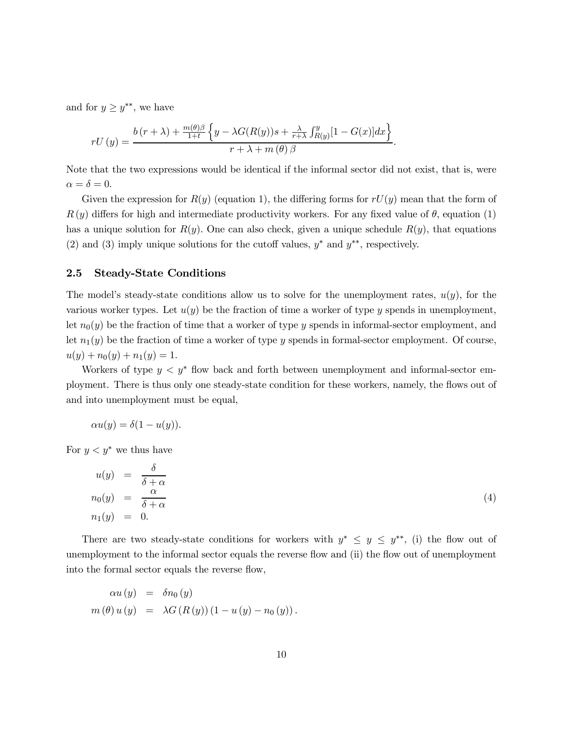and for  $y \geq y^{**}$ , we have

$$
rU(y) = \frac{b(r+\lambda) + \frac{m(\theta)\beta}{1+t} \left\{y - \lambda G(R(y))s + \frac{\lambda}{r+\lambda} \int_{R(y)}^y [1 - G(x)]dx\right\}}{r+\lambda + m(\theta)\beta}.
$$

Note that the two expressions would be identical if the informal sector did not exist, that is, were  $\alpha = \delta = 0.$ 

Given the expression for  $R(y)$  (equation 1), the differing forms for  $rU(y)$  mean that the form of  $R(y)$  differs for high and intermediate productivity workers. For any fixed value of  $\theta$ , equation (1) has a unique solution for  $R(y)$ . One can also check, given a unique schedule  $R(y)$ , that equations (2) and (3) imply unique solutions for the cutoff values,  $y^*$  and  $y^{**}$ , respectively.

#### 2.5 Steady-State Conditions

The model's steady-state conditions allow us to solve for the unemployment rates,  $u(y)$ , for the various worker types. Let  $u(y)$  be the fraction of time a worker of type y spends in unemployment. let  $n_0(y)$  be the fraction of time that a worker of type y spends in informal-sector employment, and let  $n_1(y)$  be the fraction of time a worker of type y spends in formal-sector employment. Of course,  $u(y) + n_0(y) + n_1(y) = 1.$ 

Workers of type  $y < y^*$  flow back and forth between unemployment and informal-sector employment. There is thus only one steady-state condition for these workers, namely, the flows out of and into unemployment must be equal,

$$
\alpha u(y) = \delta(1 - u(y)).
$$

For  $y < y^*$  we thus have

$$
u(y) = \frac{\delta}{\delta + \alpha}
$$
  
\n
$$
n_0(y) = \frac{\alpha}{\delta + \alpha}
$$
  
\n
$$
n_1(y) = 0.
$$
\n(4)

There are two steady-state conditions for workers with  $y^* \leq y \leq y^{**}$ , (i) the flow out of unemployment to the informal sector equals the reverse flow and (ii) the flow out of unemployment into the formal sector equals the reverse flow,

$$
\alpha u(y) = \delta n_0(y)
$$
  

$$
m(\theta) u(y) = \lambda G(R(y))(1 - u(y) - n_0(y)).
$$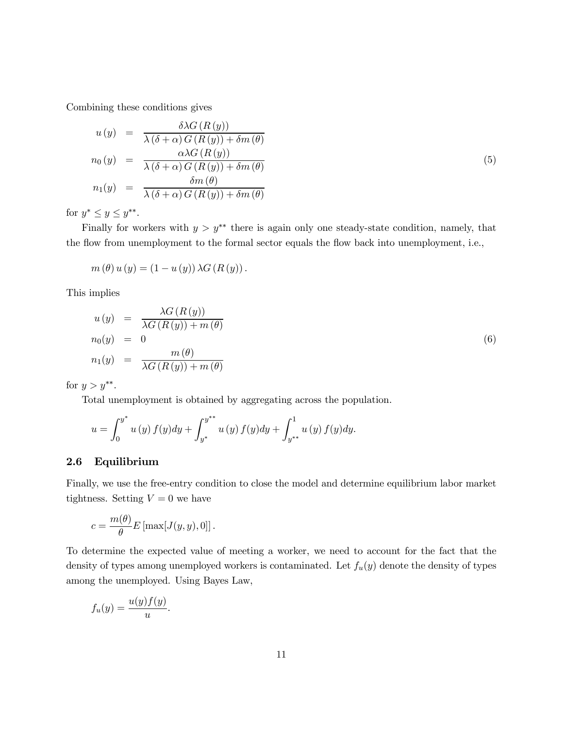Combining these conditions gives

$$
u(y) = \frac{\delta \lambda G(R(y))}{\lambda (\delta + \alpha) G(R(y)) + \delta m(\theta)}
$$
  
\n
$$
n_0(y) = \frac{\alpha \lambda G(R(y))}{\lambda (\delta + \alpha) G(R(y)) + \delta m(\theta)}
$$
  
\n
$$
n_1(y) = \frac{\delta m(\theta)}{\lambda (\delta + \alpha) G(R(y)) + \delta m(\theta)}
$$
\n(5)

for  $y^* \leq y \leq y^{**}$ .

Finally for workers with  $y>y^**$  there is again only one steady-state condition, namely, that the flow from unemployment to the formal sector equals the flow back into unemployment, i.e.,

$$
m(\theta) u(y) = (1 - u(y)) \lambda G(R(y)).
$$

This implies

$$
u(y) = \frac{\lambda G(R(y))}{\lambda G(R(y)) + m(\theta)}
$$
  
\n
$$
n_0(y) = 0
$$
  
\n
$$
n_1(y) = \frac{m(\theta)}{\lambda G(R(y)) + m(\theta)}
$$
\n(6)

for  $y>y^{**}$ .

Total unemployment is obtained by aggregating across the population.

$$
u = \int_0^{y^*} u(y) f(y) dy + \int_{y^*}^{y^{**}} u(y) f(y) dy + \int_{y^{**}}^1 u(y) f(y) dy.
$$

#### 2.6 Equilibrium

Finally, we use the free-entry condition to close the model and determine equilibrium labor market tightness. Setting  $V = 0$  we have

$$
c = \frac{m(\theta)}{\theta} E \left[ \max[J(y, y), 0] \right].
$$

To determine the expected value of meeting a worker, we need to account for the fact that the density of types among unemployed workers is contaminated. Let  $f_u(y)$  denote the density of types among the unemployed. Using Bayes Law,

$$
f_u(y) = \frac{u(y)f(y)}{u}.
$$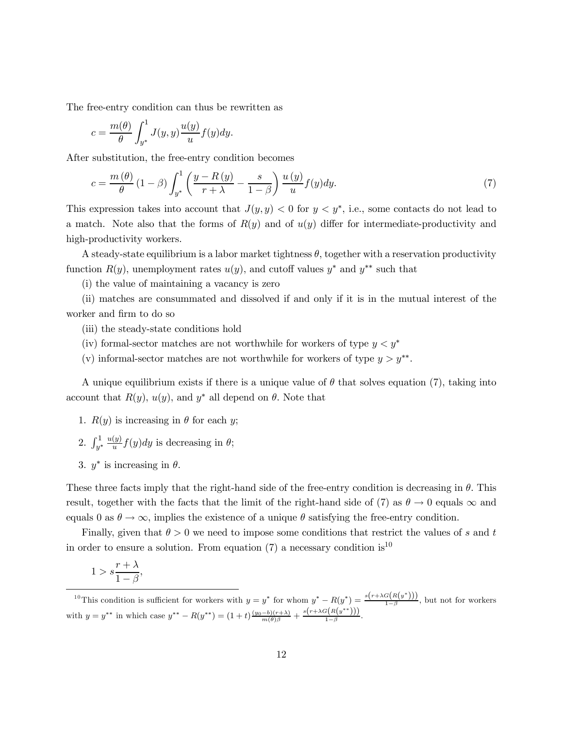The free-entry condition can thus be rewritten as

$$
c = \frac{m(\theta)}{\theta} \int_{y^*}^1 J(y, y) \frac{u(y)}{u} f(y) dy.
$$

After substitution, the free-entry condition becomes

$$
c = \frac{m(\theta)}{\theta} \left(1 - \beta\right) \int_{y^*}^1 \left(\frac{y - R(y)}{r + \lambda} - \frac{s}{1 - \beta}\right) \frac{u(y)}{u} f(y) dy. \tag{7}
$$

This expression takes into account that  $J(y, y) < 0$  for  $y < y^*$ , i.e., some contacts do not lead to a match. Note also that the forms of  $R(y)$  and of  $u(y)$  differ for intermediate-productivity and high-productivity workers.

A steady-state equilibrium is a labor market tightness  $\theta$ , together with a reservation productivity function  $R(y)$ , unemployment rates  $u(y)$ , and cutoff values y<sup>∗</sup> and y<sup>∗∗</sup> such that

(i) the value of maintaining a vacancy is zero

(ii) matches are consummated and dissolved if and only if it is in the mutual interest of the worker and firm to do so

- (iii) the steady-state conditions hold
- (iv) formal-sector matches are not worthwhile for workers of type  $y < y^*$
- (v) informal-sector matches are not worthwhile for workers of type  $y>y^{**}$ .

A unique equilibrium exists if there is a unique value of  $\theta$  that solves equation (7), taking into account that  $R(y)$ ,  $u(y)$ , and  $y^*$  all depend on  $\theta$ . Note that

- 1.  $R(y)$  is increasing in  $\theta$  for each y;
- 2.  $\int_{y^*}^1$  $\frac{u(y)}{u}f(y)dy$  is decreasing in  $\theta$ ;
- 3.  $y^*$  is increasing in  $\theta$ .

These three facts imply that the right-hand side of the free-entry condition is decreasing in  $\theta$ . This result, together with the facts that the limit of the right-hand side of (7) as  $\theta \to 0$  equals  $\infty$  and equals 0 as  $\theta \to \infty$ , implies the existence of a unique  $\theta$  satisfying the free-entry condition.

Finally, given that  $\theta > 0$  we need to impose some conditions that restrict the values of s and t in order to ensure a solution. From equation (7) a necessary condition is<sup>10</sup>

$$
1 > s \frac{r + \lambda}{1 - \beta},
$$

<sup>&</sup>lt;sup>10</sup>This condition is sufficient for workers with  $y = y^*$  for whom  $y^* - R(y^*) = \frac{s(r+\lambda G(R(y^*)))}{1-\beta}$ , but not for workers with  $y = y^{**}$  in which case  $y^{**} - R(y^{**}) = (1+t) \frac{(y_0 - b)(r+\lambda)}{m(\theta)\beta} + \frac{s(r+\lambda G(R(y^{**})))}{1-\beta}$ .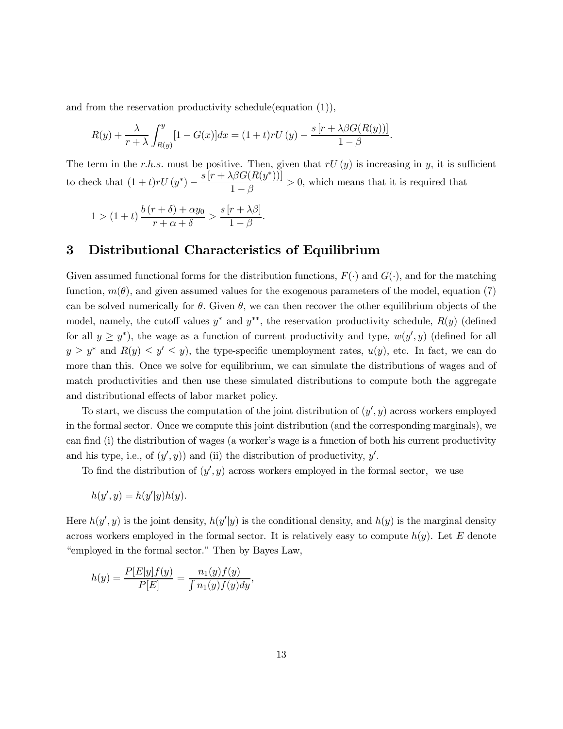and from the reservation productivity schedule(equation (1)),

$$
R(y) + \frac{\lambda}{r + \lambda} \int_{R(y)}^{y} [1 - G(x)] dx = (1 + t) r U(y) - \frac{s [r + \lambda) G(R(y))]}{1 - \beta}.
$$

The term in the r.h.s. must be positive. Then, given that  $rU(y)$  is increasing in y, it is sufficient to check that  $(1 + t)rU(y^*) - \frac{s[r + \lambda \beta G(R(y^*))]}{1 - \beta} > 0$ , which means that it is required that

$$
1 > (1+t)\frac{b(r+\delta) + \alpha y_0}{r+\alpha+\delta} > \frac{s(r+\lambda\beta)}{1-\beta}.
$$

## 3 Distributional Characteristics of Equilibrium

Given assumed functional forms for the distribution functions,  $F(\cdot)$  and  $G(\cdot)$ , and for the matching function,  $m(\theta)$ , and given assumed values for the exogenous parameters of the model, equation (7) can be solved numerically for  $\theta$ . Given  $\theta$ , we can then recover the other equilibrium objects of the model, namely, the cutoff values  $y^*$  and  $y^{**}$ , the reservation productivity schedule,  $R(y)$  (defined for all  $y \geq y^*$ ), the wage as a function of current productivity and type,  $w(y', y)$  (defined for all  $y \geq y^*$  and  $R(y) \leq y' \leq y$ , the type-specific unemployment rates,  $u(y)$ , etc. In fact, we can do more than this. Once we solve for equilibrium, we can simulate the distributions of wages and of match productivities and then use these simulated distributions to compute both the aggregate and distributional effects of labor market policy.

To start, we discuss the computation of the joint distribution of  $(y', y)$  across workers employed in the formal sector. Once we compute this joint distribution (and the corresponding marginals), we can find (i) the distribution of wages (a worker's wage is a function of both his current productivity and his type, i.e., of  $(y', y)$  and (ii) the distribution of productivity, y'.

To find the distribution of  $(y', y)$  across workers employed in the formal sector, we use

$$
h(y', y) = h(y'|y)h(y).
$$

Here  $h(y', y)$  is the joint density,  $h(y'|y)$  is the conditional density, and  $h(y)$  is the marginal density across workers employed in the formal sector. It is relatively easy to compute  $h(y)$ . Let E denote "employed in the formal sector." Then by Bayes Law,

$$
h(y) = \frac{P[E|y]f(y)}{P[E]} = \frac{n_1(y)f(y)}{\int n_1(y)f(y)dy},
$$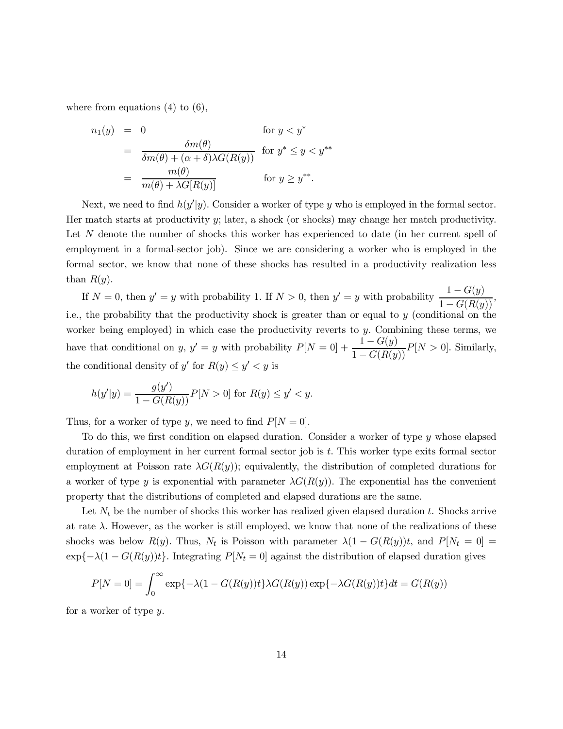where from equations  $(4)$  to  $(6)$ ,

$$
n_1(y) = 0 \qquad \text{for } y < y^*
$$
\n
$$
= \frac{\delta m(\theta)}{\delta m(\theta) + (\alpha + \delta) \lambda G(R(y))} \text{ for } y^* \le y < y^{**}
$$
\n
$$
= \frac{m(\theta)}{m(\theta) + \lambda G[R(y)]} \qquad \text{for } y \ge y^{**}.
$$

Next, we need to find  $h(y'|y)$ . Consider a worker of type y who is employed in the formal sector. Her match starts at productivity y; later, a shock (or shocks) may change her match productivity. Let N denote the number of shocks this worker has experienced to date (in her current spell of employment in a formal-sector job). Since we are considering a worker who is employed in the formal sector, we know that none of these shocks has resulted in a productivity realization less than  $R(u)$ .

If  $N = 0$ , then  $y' = y$  with probability 1. If  $N > 0$ , then  $y' = y$  with probability  $\frac{1 - G(y)}{1 - G(R(y))}$ , i.e., the probability that the productivity shock is greater than or equal to  $y$  (conditional on the worker being employed) in which case the productivity reverts to y. Combining these terms, we have that conditional on y, y' = y with probability  $P[N = 0] + \frac{1 - G(y)}{1 - G(R(y))}P[N > 0]$ . Similarly, the conditional density of y' for  $R(y) \le y' \le y$  is

$$
h(y'|y) = \frac{g(y')}{1 - G(R(y))} P[N > 0] \text{ for } R(y) \le y' < y.
$$

Thus, for a worker of type y, we need to find  $P[N=0]$ .

To do this, we first condition on elapsed duration. Consider a worker of type y whose elapsed duration of employment in her current formal sector job is t. This worker type exits formal sector employment at Poisson rate  $\lambda G(R(y))$ ; equivalently, the distribution of completed durations for a worker of type y is exponential with parameter  $\lambda G(R(y))$ . The exponential has the convenient property that the distributions of completed and elapsed durations are the same.

Let  $N_t$  be the number of shocks this worker has realized given elapsed duration t. Shocks arrive at rate  $\lambda$ . However, as the worker is still employed, we know that none of the realizations of these shocks was below  $R(y)$ . Thus,  $N_t$  is Poisson with parameter  $\lambda(1 - G(R(y))t$ , and  $P[N_t = 0]$  $\exp{\{-\lambda(1-G(R(y))t\}}$ . Integrating  $P[N_t=0]$  against the distribution of elapsed duration gives

$$
P[N=0] = \int_0^\infty \exp\{-\lambda(1 - G(R(y))t\}\lambda G(R(y))\exp\{-\lambda G(R(y))t\}dt = G(R(y))
$$

for a worker of type y.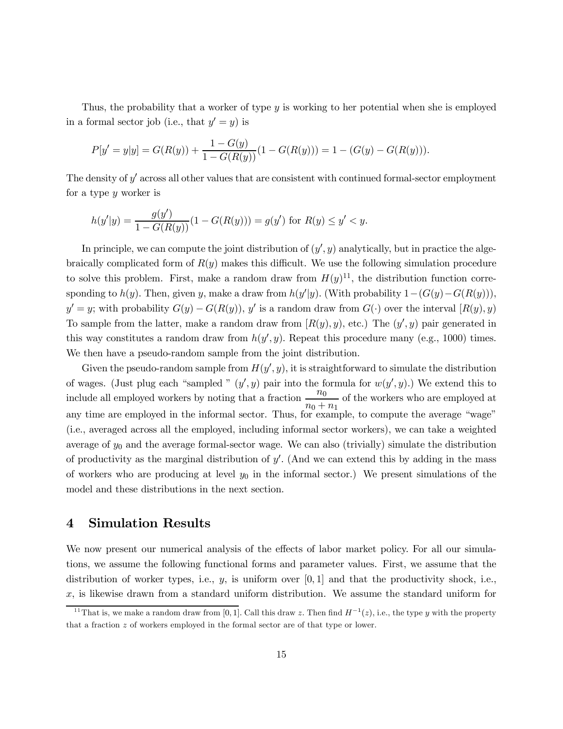Thus, the probability that a worker of type y is working to her potential when she is employed in a formal sector job (i.e., that  $y' = y$ ) is

$$
P[y' = y|y] = G(R(y)) + \frac{1 - G(y)}{1 - G(R(y))}(1 - G(R(y))) = 1 - (G(y) - G(R(y))).
$$

The density of  $y'$  across all other values that are consistent with continued formal-sector employment for a type y worker is

$$
h(y'|y) = \frac{g(y')}{1 - G(R(y))} (1 - G(R(y))) = g(y') \text{ for } R(y) \le y' < y.
$$

In principle, we can compute the joint distribution of  $(y', y)$  analytically, but in practice the algebraically complicated form of  $R(y)$  makes this difficult. We use the following simulation procedure to solve this problem. First, make a random draw from  $H(y)^{11}$ , the distribution function corresponding to  $h(y)$ . Then, given y, make a draw from  $h(y'|y)$ . (With probability  $1-(G(y)-G(R(y))),$  $y' = y$ ; with probability  $G(y) - G(R(y))$ , y' is a random draw from  $G(\cdot)$  over the interval  $[R(y), y]$ To sample from the latter, make a random draw from  $[R(y), y)$ , etc.) The  $(y', y)$  pair generated in this way constitutes a random draw from  $h(y', y)$ . Repeat this procedure many (e.g., 1000) times. We then have a pseudo-random sample from the joint distribution.

Given the pseudo-random sample from  $H(y', y)$ , it is straightforward to simulate the distribution of wages. (Just plug each "sampled "  $(y', y)$  pair into the formula for  $w(y', y)$ .) We extend this to include all employed workers by noting that a fraction  $\frac{n_0}{n_0}$  $\frac{n_0}{n_0 + n_1}$  of the workers who are employed at any time are employed in the informal sector. Thus, for example, to compute the average "wage" (i.e., averaged across all the employed, including informal sector workers), we can take a weighted average of  $y_0$  and the average formal-sector wage. We can also (trivially) simulate the distribution of productivity as the marginal distribution of  $y'$ . (And we can extend this by adding in the mass of workers who are producing at level  $y_0$  in the informal sector.) We present simulations of the model and these distributions in the next section.

## 4 Simulation Results

We now present our numerical analysis of the effects of labor market policy. For all our simulations, we assume the following functional forms and parameter values. First, we assume that the distribution of worker types, i.e.,  $y$ , is uniform over  $[0,1]$  and that the productivity shock, i.e.,  $x$ , is likewise drawn from a standard uniform distribution. We assume the standard uniform for

<sup>&</sup>lt;sup>11</sup>That is, we make a random draw from [0, 1]. Call this draw z. Then find  $H^{-1}(z)$ , i.e., the type y with the property that a fraction  $z$  of workers employed in the formal sector are of that type or lower.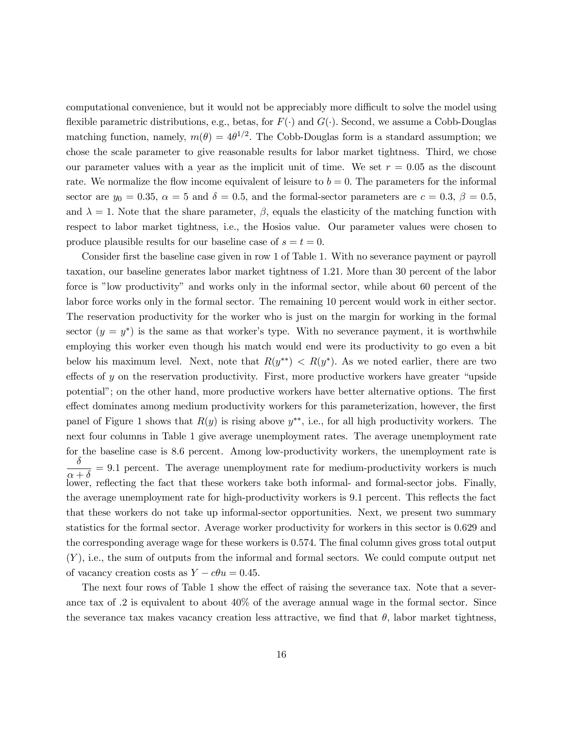computational convenience, but it would not be appreciably more difficult to solve the model using flexible parametric distributions, e.g., betas, for  $F(\cdot)$  and  $G(\cdot)$ . Second, we assume a Cobb-Douglas matching function, namely,  $m(\theta)=4\theta^{1/2}$ . The Cobb-Douglas form is a standard assumption; we chose the scale parameter to give reasonable results for labor market tightness. Third, we chose our parameter values with a year as the implicit unit of time. We set  $r = 0.05$  as the discount rate. We normalize the flow income equivalent of leisure to  $b = 0$ . The parameters for the informal sector are  $y_0 = 0.35$ ,  $\alpha = 5$  and  $\delta = 0.5$ , and the formal-sector parameters are  $c = 0.3$ ,  $\beta = 0.5$ , and  $\lambda = 1$ . Note that the share parameter,  $\beta$ , equals the elasticity of the matching function with respect to labor market tightness, i.e., the Hosios value. Our parameter values were chosen to produce plausible results for our baseline case of  $s = t = 0$ .

Consider first the baseline case given in row 1 of Table 1. With no severance payment or payroll taxation, our baseline generates labor market tightness of 1.21. More than 30 percent of the labor force is "low productivity" and works only in the informal sector, while about 60 percent of the labor force works only in the formal sector. The remaining 10 percent would work in either sector. The reservation productivity for the worker who is just on the margin for working in the formal sector  $(y = y^*)$  is the same as that worker's type. With no severance payment, it is worthwhile employing this worker even though his match would end were its productivity to go even a bit below his maximum level. Next, note that  $R(y^{**}) < R(y^{*})$ . As we noted earlier, there are two effects of y on the reservation productivity. First, more productive workers have greater "upside potential"; on the other hand, more productive workers have better alternative options. The first effect dominates among medium productivity workers for this parameterization, however, the first panel of Figure 1 shows that  $R(y)$  is rising above  $y^{**}$ , i.e., for all high productivity workers. The next four columns in Table 1 give average unemployment rates. The average unemployment rate for the baseline case is 8.6 percent. Among low-productivity workers, the unemployment rate is  $\frac{\delta}{\alpha + \delta} = 9.1$  percent. The average unemployment rate for medium-productivity workers is much lower, reflecting the fact that these workers take both informal- and formal-sector jobs. Finally, the average unemployment rate for high-productivity workers is 9.1 percent. This reflects the fact that these workers do not take up informal-sector opportunities. Next, we present two summary statistics for the formal sector. Average worker productivity for workers in this sector is 0.629 and the corresponding average wage for these workers is 0.574. The final column gives gross total output  $(Y)$ , i.e., the sum of outputs from the informal and formal sectors. We could compute output net of vacancy creation costs as  $Y - c\theta u = 0.45$ .

The next four rows of Table 1 show the effect of raising the severance tax. Note that a severance tax of .2 is equivalent to about 40% of the average annual wage in the formal sector. Since the severance tax makes vacancy creation less attractive, we find that  $\theta$ , labor market tightness,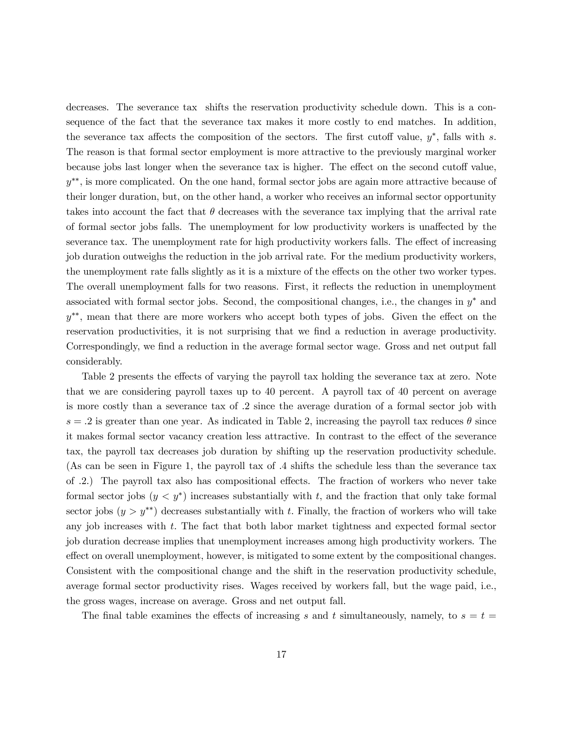decreases. The severance tax shifts the reservation productivity schedule down. This is a consequence of the fact that the severance tax makes it more costly to end matches. In addition, the severance tax affects the composition of the sectors. The first cutoff value,  $y^*$ , falls with s. The reason is that formal sector employment is more attractive to the previously marginal worker because jobs last longer when the severance tax is higher. The effect on the second cutoff value, y∗∗, is more complicated. On the one hand, formal sector jobs are again more attractive because of their longer duration, but, on the other hand, a worker who receives an informal sector opportunity takes into account the fact that  $\theta$  decreases with the severance tax implying that the arrival rate of formal sector jobs falls. The unemployment for low productivity workers is unaffected by the severance tax. The unemployment rate for high productivity workers falls. The effect of increasing job duration outweighs the reduction in the job arrival rate. For the medium productivity workers, the unemployment rate falls slightly as it is a mixture of the effects on the other two worker types. The overall unemployment falls for two reasons. First, it reflects the reduction in unemployment associated with formal sector jobs. Second, the compositional changes, i.e., the changes in  $y^*$  and y∗∗, mean that there are more workers who accept both types of jobs. Given the effect on the reservation productivities, it is not surprising that we find a reduction in average productivity. Correspondingly, we find a reduction in the average formal sector wage. Gross and net output fall considerably.

Table 2 presents the effects of varying the payroll tax holding the severance tax at zero. Note that we are considering payroll taxes up to 40 percent. A payroll tax of 40 percent on average is more costly than a severance tax of .2 since the average duration of a formal sector job with  $s = 0.2$  is greater than one year. As indicated in Table 2, increasing the payroll tax reduces  $\theta$  since it makes formal sector vacancy creation less attractive. In contrast to the effect of the severance tax, the payroll tax decreases job duration by shifting up the reservation productivity schedule. (As can be seen in Figure 1, the payroll tax of .4 shifts the schedule less than the severance tax of .2.) The payroll tax also has compositional effects. The fraction of workers who never take formal sector jobs  $(y < y^*)$  increases substantially with t, and the fraction that only take formal sector jobs  $(y > y^{**})$  decreases substantially with t. Finally, the fraction of workers who will take any job increases with t. The fact that both labor market tightness and expected formal sector job duration decrease implies that unemployment increases among high productivity workers. The effect on overall unemployment, however, is mitigated to some extent by the compositional changes. Consistent with the compositional change and the shift in the reservation productivity schedule, average formal sector productivity rises. Wages received by workers fall, but the wage paid, i.e., the gross wages, increase on average. Gross and net output fall.

The final table examines the effects of increasing s and t simultaneously, namely, to  $s = t =$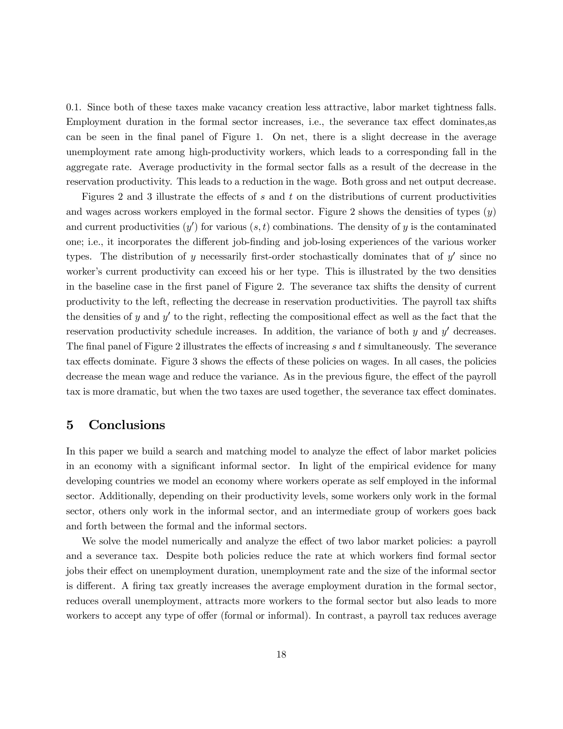0.1. Since both of these taxes make vacancy creation less attractive, labor market tightness falls. Employment duration in the formal sector increases, i.e., the severance tax effect dominates,as can be seen in the final panel of Figure 1. On net, there is a slight decrease in the average unemployment rate among high-productivity workers, which leads to a corresponding fall in the aggregate rate. Average productivity in the formal sector falls as a result of the decrease in the reservation productivity. This leads to a reduction in the wage. Both gross and net output decrease.

Figures 2 and 3 illustrate the effects of  $s$  and  $t$  on the distributions of current productivities and wages across workers employed in the formal sector. Figure 2 shows the densities of types  $(y)$ and current productivities  $(y')$  for various  $(s, t)$  combinations. The density of y is the contaminated one; i.e., it incorporates the different job-finding and job-losing experiences of the various worker types. The distribution of y necessarily first-order stochastically dominates that of  $y'$  since no worker's current productivity can exceed his or her type. This is illustrated by the two densities in the baseline case in the first panel of Figure 2. The severance tax shifts the density of current productivity to the left, reflecting the decrease in reservation productivities. The payroll tax shifts the densities of y and y' to the right, reflecting the compositional effect as well as the fact that the reservation productivity schedule increases. In addition, the variance of both  $y$  and  $y'$  decreases. The final panel of Figure 2 illustrates the effects of increasing s and t simultaneously. The severance tax effects dominate. Figure 3 shows the effects of these policies on wages. In all cases, the policies decrease the mean wage and reduce the variance. As in the previous figure, the effect of the payroll tax is more dramatic, but when the two taxes are used together, the severance tax effect dominates.

## 5 Conclusions

In this paper we build a search and matching model to analyze the effect of labor market policies in an economy with a significant informal sector. In light of the empirical evidence for many developing countries we model an economy where workers operate as self employed in the informal sector. Additionally, depending on their productivity levels, some workers only work in the formal sector, others only work in the informal sector, and an intermediate group of workers goes back and forth between the formal and the informal sectors.

We solve the model numerically and analyze the effect of two labor market policies: a payroll and a severance tax. Despite both policies reduce the rate at which workers find formal sector jobs their effect on unemployment duration, unemployment rate and the size of the informal sector is different. A firing tax greatly increases the average employment duration in the formal sector, reduces overall unemployment, attracts more workers to the formal sector but also leads to more workers to accept any type of offer (formal or informal). In contrast, a payroll tax reduces average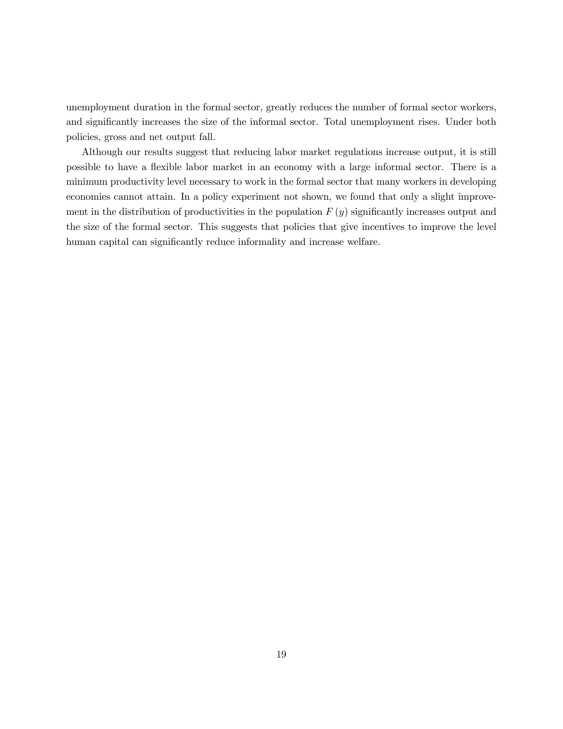unemployment duration in the formal sector, greatly reduces the number of formal sector workers, and significantly increases the size of the informal sector. Total unemployment rises. Under both policies, gross and net output fall.

Although our results suggest that reducing labor market regulations increase output, it is still possible to have a flexible labor market in an economy with a large informal sector. There is a minimum productivity level necessary to work in the formal sector that many workers in developing economies cannot attain. In a policy experiment not shown, we found that only a slight improvement in the distribution of productivities in the population  $F(y)$  significantly increases output and the size of the formal sector. This suggests that policies that give incentives to improve the level human capital can significantly reduce informality and increase welfare.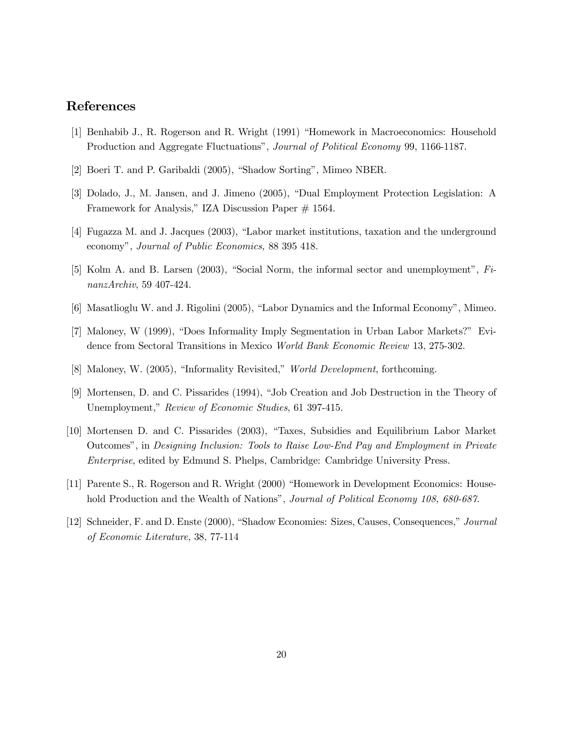# References

- [1] Benhabib J., R. Rogerson and R. Wright (1991) "Homework in Macroeconomics: Household Production and Aggregate Fluctuations", Journal of Political Economy 99, 1166-1187.
- [2] Boeri T. and P. Garibaldi (2005), "Shadow Sorting", Mimeo NBER.
- [3] Dolado, J., M. Jansen, and J. Jimeno (2005), "Dual Employment Protection Legislation: A Framework for Analysis," IZA Discussion Paper # 1564.
- [4] Fugazza M. and J. Jacques (2003), "Labor market institutions, taxation and the underground economy", Journal of Public Economics, 88 395 418.
- [5] Kolm A. and B. Larsen (2003), "Social Norm, the informal sector and unemployment", FinanzArchiv, 59 407-424.
- [6] Masatlioglu W. and J. Rigolini (2005), "Labor Dynamics and the Informal Economy", Mimeo.
- [7] Maloney, W (1999), "Does Informality Imply Segmentation in Urban Labor Markets?" Evidence from Sectoral Transitions in Mexico World Bank Economic Review 13, 275-302.
- [8] Maloney, W. (2005), "Informality Revisited," World Development, forthcoming.
- [9] Mortensen, D. and C. Pissarides (1994), "Job Creation and Job Destruction in the Theory of Unemployment," Review of Economic Studies, 61 397-415.
- [10] Mortensen D. and C. Pissarides (2003), "Taxes, Subsidies and Equilibrium Labor Market Outcomes", in Designing Inclusion: Tools to Raise Low-End Pay and Employment in Private Enterprise, edited by Edmund S. Phelps, Cambridge: Cambridge University Press.
- [11] Parente S., R. Rogerson and R. Wright (2000) "Homework in Development Economics: Household Production and the Wealth of Nations", *Journal of Political Economy 108, 680-687*.
- [12] Schneider, F. and D. Enste (2000), "Shadow Economies: Sizes, Causes, Consequences," Journal of Economic Literature, 38, 77-114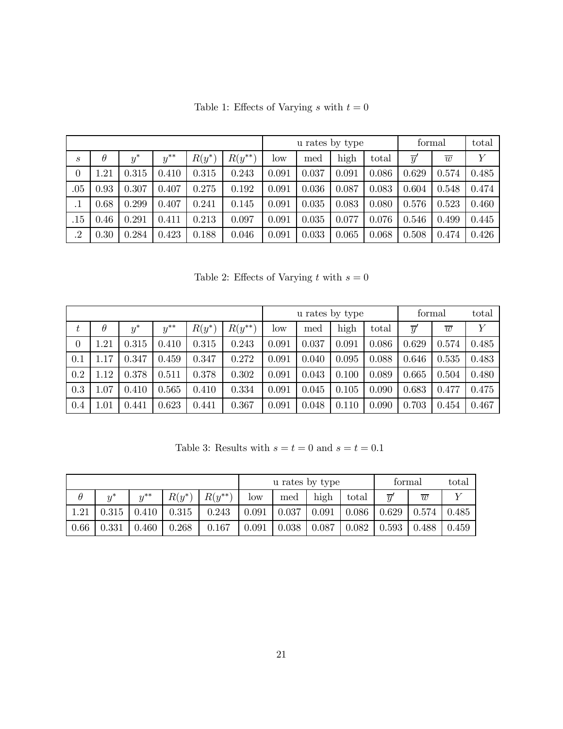|                  |          |       |          |          |             | u rates by type |       |       |       | formal          |                | total |
|------------------|----------|-------|----------|----------|-------------|-----------------|-------|-------|-------|-----------------|----------------|-------|
| $\boldsymbol{s}$ | $\theta$ | $y^*$ | $y^{**}$ | $R(y^*)$ | $R(y^{**})$ | low             | med   | high  | total | $\overline{y}'$ | $\overline{w}$ | Υ     |
| $\theta$         | 1.21     | 0.315 | 0.410    | 0.315    | 0.243       | 0.091           | 0.037 | 0.091 | 0.086 | 0.629           | 0.574          | 0.485 |
| $.05\,$          | 0.93     | 0.307 | 0.407    | 0.275    | 0.192       | 0.091           | 0.036 | 0.087 | 0.083 | 0.604           | 0.548          | 0.474 |
| .1               | 0.68     | 0.299 | 0.407    | 0.241    | 0.145       | 0.091           | 0.035 | 0.083 | 0.080 | 0.576           | 0.523          | 0.460 |
| $.15\,$          | 0.46     | 0.291 | 0.411    | 0.213    | 0.097       | 0.091           | 0.035 | 0.077 | 0.076 | 0.546           | 0.499          | 0.445 |
| $\cdot$ 2        | 0.30     | 0.284 | 0.423    | 0.188    | 0.046       | 0.091           | 0.033 | 0.065 | 0.068 | 0.508           | 0.474          | 0.426 |

Table 1: Effects of Varying  $s$  with  $t=0$ 

Table 2: Effects of Varying t with  $s = 0$ 

|          |                 |       |          |          |             |       | u rates by type |       | formal |                 | total          |       |
|----------|-----------------|-------|----------|----------|-------------|-------|-----------------|-------|--------|-----------------|----------------|-------|
| $t\,$    | $\theta$        | $y^*$ | $y^{**}$ | $R(y^*)$ | $R(y^{**})$ | low   | med             | high  | total  | $\overline{y}'$ | $\overline{w}$ | Y     |
| $\theta$ | $\mathord{.}21$ | 0.315 | 0.410    | 0.315    | 0.243       | 0.091 | 0.037           | 0.091 | 0.086  | 0.629           | 0.574          | 0.485 |
| 0.1      | .17             | 0.347 | 0.459    | 0.347    | 0.272       | 0.091 | 0.040           | 0.095 | 0.088  | 0.646           | 0.535          | 0.483 |
| 0.2      | .12             | 0.378 | 0.511    | 0.378    | 0.302       | 0.091 | 0.043           | 0.100 | 0.089  | 0.665           | 0.504          | 0.480 |
| 0.3      | 1.07            | 0.410 | 0.565    | 0.410    | 0.334       | 0.091 | 0.045           | 0.105 | 0.090  | 0.683           | 0.477          | 0.475 |
| 0.4      | 1.01            | 0.441 | 0.623    | 0.441    | 0.367       | 0.091 | 0.048           | 0.110 | 0.090  | 0.703           | 0.454          | 0.467 |

Table 3: Results with  $s=t=0$  and  $s=t=0.1\,$ 

|          |       |          |          |             |                 | u rates by type |       | formal |                 | total          |       |
|----------|-------|----------|----------|-------------|-----------------|-----------------|-------|--------|-----------------|----------------|-------|
| $\theta$ | $u^*$ | $y^{**}$ | $R(y^*)$ | $R(y^{**})$ | $_{\text{low}}$ | med             | high  | total  | $\overline{u}'$ | $\overline{w}$ |       |
| 1.21     | 0.315 | 0.410    | 0.315    | 0.243       | 0.091           | 0.037           | 0.091 | 0.086  | 0.629           | 0.574          | 0.485 |
| 0.66     | 0.331 | 0.460    | 0.268    | 0.167       | 0.091           | 0.038           | 0.087 | 0.082  | 0.593           | 0.488          | 0.459 |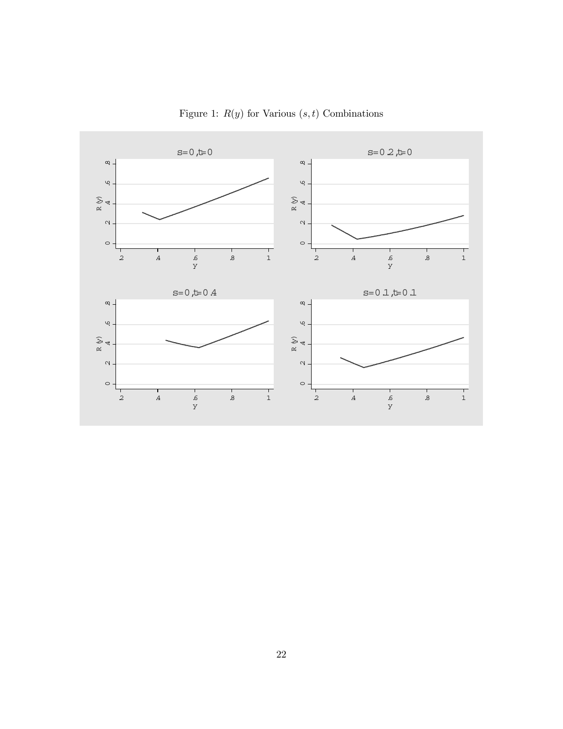

Figure 1:  $R(y)$  for Various  $(s, t)$  Combinations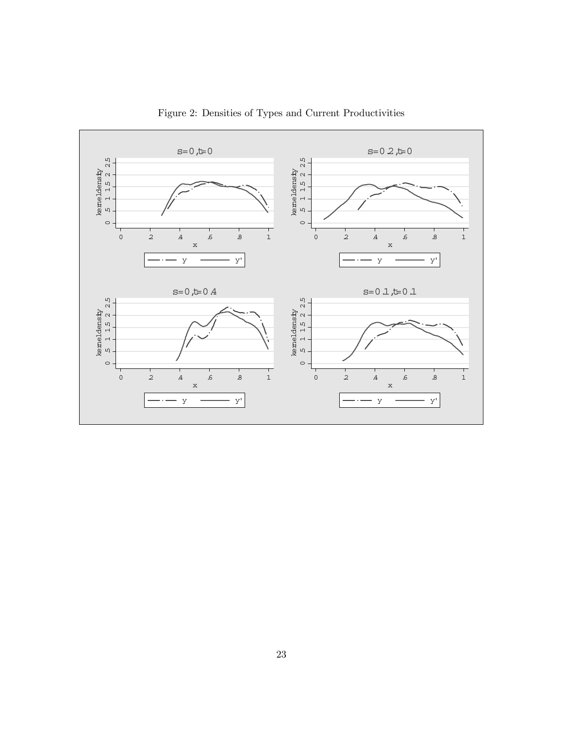

Figure 2: Densities of Types and Current Productivities